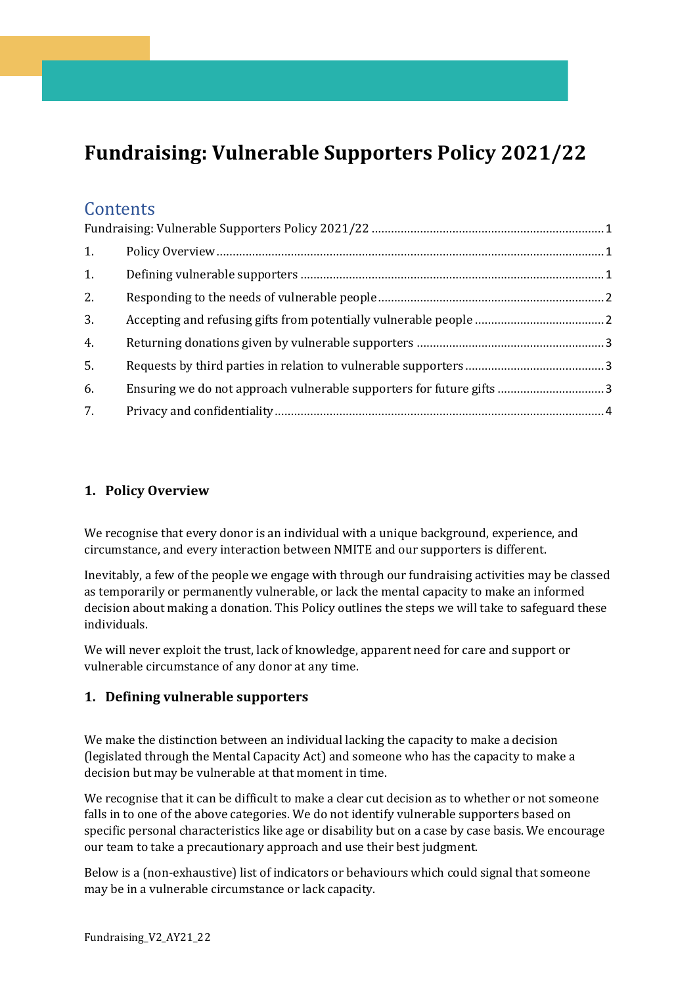# <span id="page-0-0"></span>**Fundraising: Vulnerable Supporters Policy 2021/22**

# **Contents**

| 1. |  |  |
|----|--|--|
| 1. |  |  |
| 2. |  |  |
| 3. |  |  |
| 4. |  |  |
| 5. |  |  |
| 6. |  |  |
| 7. |  |  |

# <span id="page-0-1"></span>**1. Policy Overview**

We recognise that every donor is an individual with a unique background, experience, and circumstance, and every interaction between NMITE and our supporters is different.

Inevitably, a few of the people we engage with through our fundraising activities may be classed as temporarily or permanently vulnerable, or lack the mental capacity to make an informed decision about making a donation. This Policy outlines the steps we will take to safeguard these individuals.

We will never exploit the trust, lack of knowledge, apparent need for care and support or vulnerable circumstance of any donor at any time.

#### <span id="page-0-2"></span>**1. Defining vulnerable supporters**

We make the distinction between an individual lacking the capacity to make a decision (legislated through the Mental Capacity Act) and someone who has the capacity to make a decision but may be vulnerable at that moment in time.

We recognise that it can be difficult to make a clear cut decision as to whether or not someone falls in to one of the above categories. We do not identify vulnerable supporters based on specific personal characteristics like age or disability but on a case by case basis. We encourage our team to take a precautionary approach and use their best judgment.

Below is a (non-exhaustive) list of indicators or behaviours which could signal that someone may be in a vulnerable circumstance or lack capacity.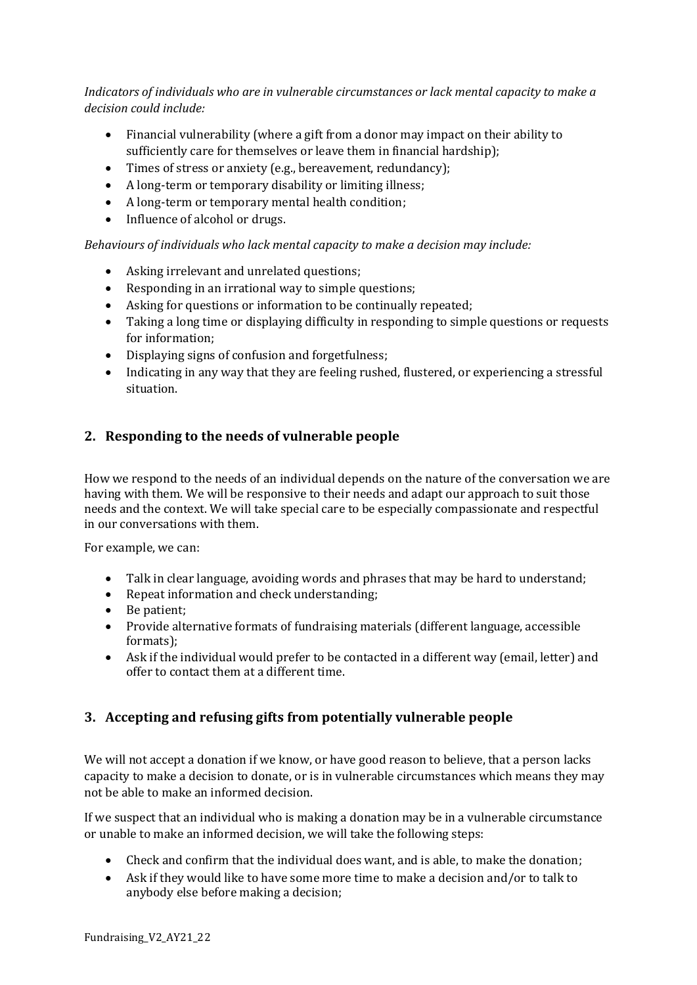*Indicators of individuals who are in vulnerable circumstances or lack mental capacity to make a decision could include:*

- Financial vulnerability (where a gift from a donor may impact on their ability to sufficiently care for themselves or leave them in financial hardship);
- Times of stress or anxiety (e.g., bereavement, redundancy);
- A long-term or temporary disability or limiting illness;
- A long-term or temporary mental health condition;
- Influence of alcohol or drugs.

*Behaviours of individuals who lack mental capacity to make a decision may include:*

- Asking irrelevant and unrelated questions;
- Responding in an irrational way to simple questions;
- Asking for questions or information to be continually repeated;
- Taking a long time or displaying difficulty in responding to simple questions or requests for information;
- Displaying signs of confusion and forgetfulness;
- Indicating in any way that they are feeling rushed, flustered, or experiencing a stressful situation.

## <span id="page-1-0"></span>**2. Responding to the needs of vulnerable people**

How we respond to the needs of an individual depends on the nature of the conversation we are having with them. We will be responsive to their needs and adapt our approach to suit those needs and the context. We will take special care to be especially compassionate and respectful in our conversations with them.

For example, we can:

- Talk in clear language, avoiding words and phrases that may be hard to understand;
- Repeat information and check understanding;
- Be patient;
- Provide alternative formats of fundraising materials (different language, accessible formats);
- Ask if the individual would prefer to be contacted in a different way (email, letter) and offer to contact them at a different time.

# <span id="page-1-1"></span>**3. Accepting and refusing gifts from potentially vulnerable people**

We will not accept a donation if we know, or have good reason to believe, that a person lacks capacity to make a decision to donate, or is in vulnerable circumstances which means they may not be able to make an informed decision.

If we suspect that an individual who is making a donation may be in a vulnerable circumstance or unable to make an informed decision, we will take the following steps:

- Check and confirm that the individual does want, and is able, to make the donation;
- Ask if they would like to have some more time to make a decision and/or to talk to anybody else before making a decision;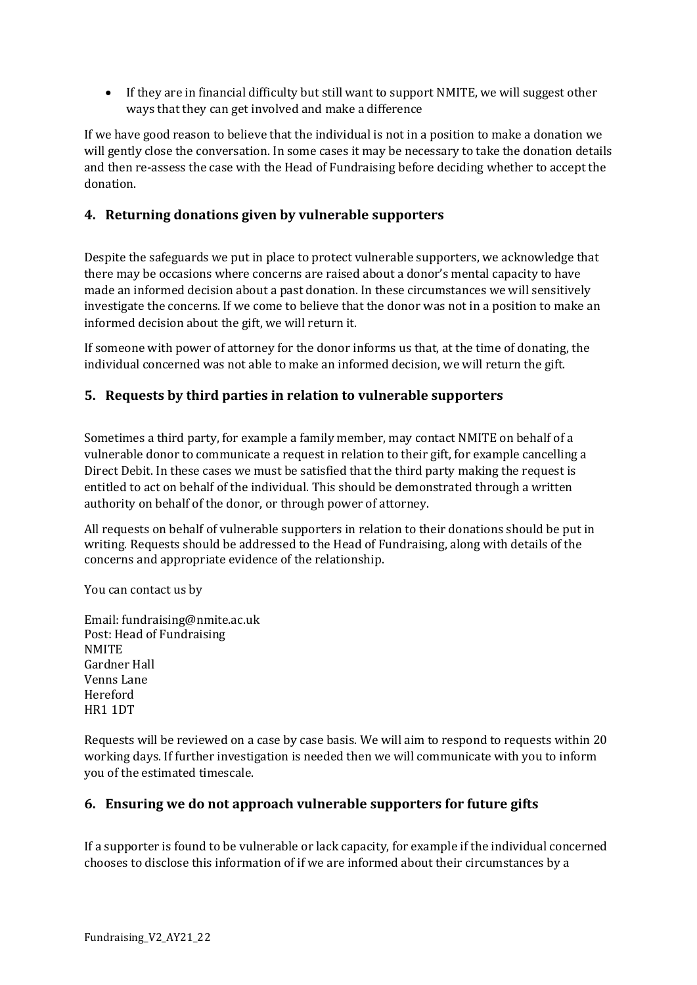• If they are in financial difficulty but still want to support NMITE, we will suggest other ways that they can get involved and make a difference

If we have good reason to believe that the individual is not in a position to make a donation we will gently close the conversation. In some cases it may be necessary to take the donation details and then re-assess the case with the Head of Fundraising before deciding whether to accept the donation.

## <span id="page-2-0"></span>**4. Returning donations given by vulnerable supporters**

Despite the safeguards we put in place to protect vulnerable supporters, we acknowledge that there may be occasions where concerns are raised about a donor's mental capacity to have made an informed decision about a past donation. In these circumstances we will sensitively investigate the concerns. If we come to believe that the donor was not in a position to make an informed decision about the gift, we will return it.

If someone with power of attorney for the donor informs us that, at the time of donating, the individual concerned was not able to make an informed decision, we will return the gift.

## <span id="page-2-1"></span>**5. Requests by third parties in relation to vulnerable supporters**

Sometimes a third party, for example a family member, may contact NMITE on behalf of a vulnerable donor to communicate a request in relation to their gift, for example cancelling a Direct Debit. In these cases we must be satisfied that the third party making the request is entitled to act on behalf of the individual. This should be demonstrated through a written authority on behalf of the donor, or through power of attorney.

All requests on behalf of vulnerable supporters in relation to their donations should be put in writing. Requests should be addressed to the Head of Fundraising, along with details of the concerns and appropriate evidence of the relationship.

You can contact us by

Email: fundraising@nmite.ac.uk Post: Head of Fundraising **NMITE** Gardner Hall Venns Lane Hereford HR1 1DT

Requests will be reviewed on a case by case basis. We will aim to respond to requests within 20 working days. If further investigation is needed then we will communicate with you to inform you of the estimated timescale.

#### <span id="page-2-2"></span>**6. Ensuring we do not approach vulnerable supporters for future gifts**

If a supporter is found to be vulnerable or lack capacity, for example if the individual concerned chooses to disclose this information of if we are informed about their circumstances by a